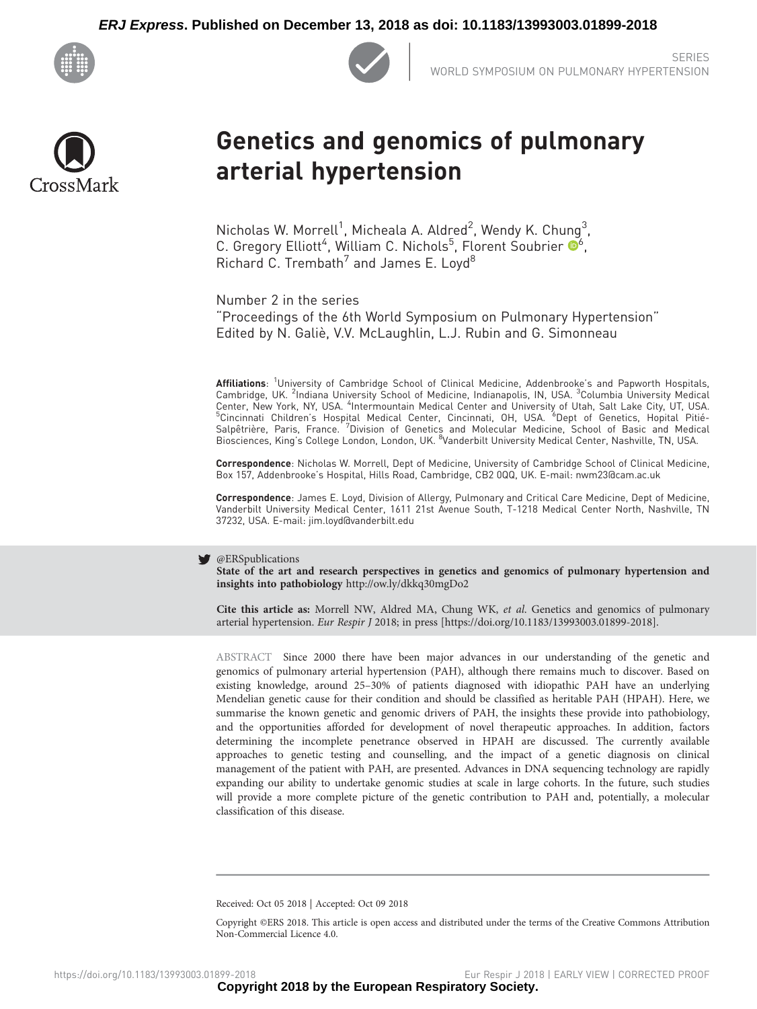**ERJ Express. Published on December 13, 2018 as doi: 10.1183/13993003.01899-2018**





<sup>|</sup> SERIES WORLD SYMPOSIUM ON PULMONARY HYPERTENSION



# Genetics and genomics of pulmonary arterial hypertension

Nicholas W. Morrell<sup>1</sup>, Micheala A. Aldred<sup>2</sup>, Wendy K. Chung<sup>3</sup>, C. Gregory Elliott<sup>4</sup>, William C. Nichols<sup>5</sup>, Florent Soubrier ®<sup>6</sup>, Richard C. Trembath<sup>7</sup> and James E. Loyd<sup>8</sup>

Number 2 in the series "Proceedings of the 6th World Symposium on Pulmonary Hypertension" Edited by N. Galiè, V.V. McLaughlin, L.J. Rubin and G. Simonneau

Affiliations: <sup>1</sup>University of Cambridge School of Clinical Medicine, Addenbrooke's and Papworth Hospitals, Cambridge, UK. <sup>2</sup>Indiana University School of Medicine, Indianapolis, IN, USA. <sup>3</sup>Columbia University Medical Center, New York, NY, USA. <sup>4</sup>Intermountain Medical Center and University of Utah, Salt Lake City, UT, USA.<br><sup>5</sup>Cincinnati Children's Hospital Medical Center, Cincinnati, OH, USA. <sup>6</sup>Dept of Genetics, Hopital Pitié-<br>Salpêtr

Correspondence: Nicholas W. Morrell, Dept of Medicine, University of Cambridge School of Clinical Medicine, Box 157, Addenbrooke's Hospital, Hills Road, Cambridge, CB2 0QQ, UK. E-mail: [nwm23@cam.ac.uk](mailto:nwm23@cam.ac.uk)

Correspondence: James E. Loyd, Division of Allergy, Pulmonary and Critical Care Medicine, Dept of Medicine, Vanderbilt University Medical Center, 1611 21st Avenue South, T-1218 Medical Center North, Nashville, TN 37232, USA. E-mail: [jim.loyd@vanderbilt.edu](mailto:jim.loyd@vanderbilt.edu)

# **W** @ERSpublications

State of the art and research perspectives in genetics and genomics of pulmonary hypertension and insights into pathobiology <http://ow.ly/dkkq30mgDo2>

Cite this article as: Morrell NW, Aldred MA, Chung WK, et al. Genetics and genomics of pulmonary arterial hypertension. Eur Respir J 2018; in press [\[https://doi.org/10.1183/13993003.01899-2018\].](https://doi.org/10.1183/13993003.01899-2018)

ABSTRACT Since 2000 there have been major advances in our understanding of the genetic and genomics of pulmonary arterial hypertension (PAH), although there remains much to discover. Based on existing knowledge, around 25–30% of patients diagnosed with idiopathic PAH have an underlying Mendelian genetic cause for their condition and should be classified as heritable PAH (HPAH). Here, we summarise the known genetic and genomic drivers of PAH, the insights these provide into pathobiology, and the opportunities afforded for development of novel therapeutic approaches. In addition, factors determining the incomplete penetrance observed in HPAH are discussed. The currently available approaches to genetic testing and counselling, and the impact of a genetic diagnosis on clinical management of the patient with PAH, are presented. Advances in DNA sequencing technology are rapidly expanding our ability to undertake genomic studies at scale in large cohorts. In the future, such studies will provide a more complete picture of the genetic contribution to PAH and, potentially, a molecular classification of this disease.

Received: Oct 05 2018 | Accepted: Oct 09 2018

Copyright ©ERS 2018. This article is open access and distributed under the terms of the Creative Commons Attribution Non-Commercial Licence 4.0.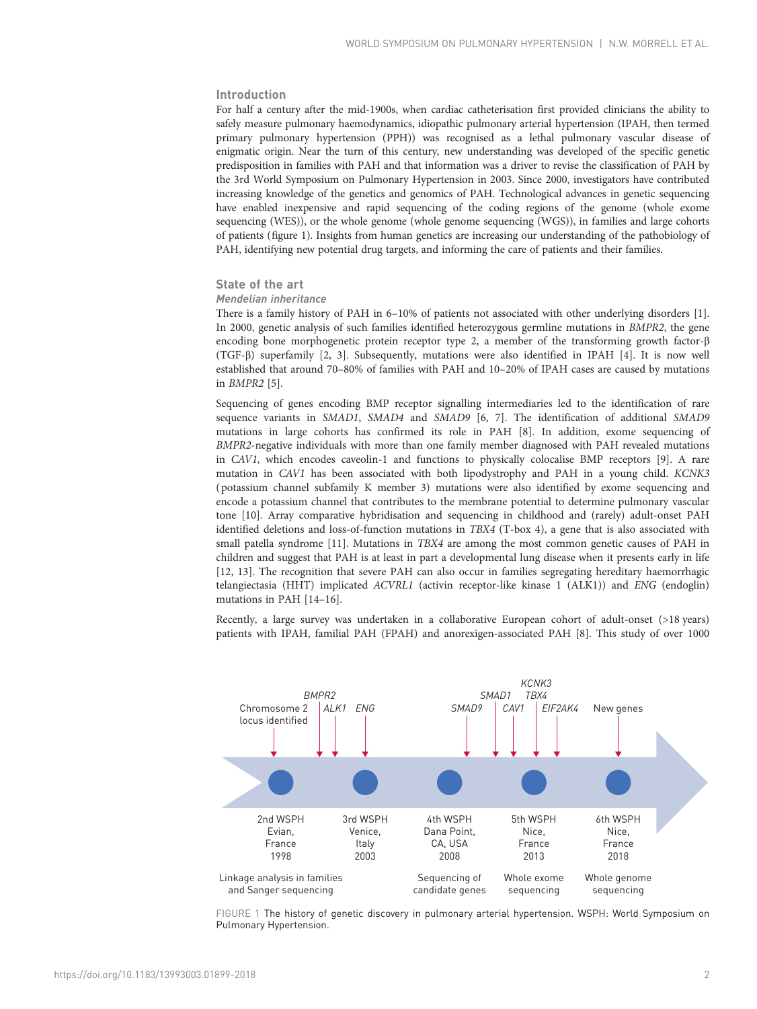# Introduction

For half a century after the mid-1900s, when cardiac catheterisation first provided clinicians the ability to safely measure pulmonary haemodynamics, idiopathic pulmonary arterial hypertension (IPAH, then termed primary pulmonary hypertension (PPH)) was recognised as a lethal pulmonary vascular disease of enigmatic origin. Near the turn of this century, new understanding was developed of the specific genetic predisposition in families with PAH and that information was a driver to revise the classification of PAH by the 3rd World Symposium on Pulmonary Hypertension in 2003. Since 2000, investigators have contributed increasing knowledge of the genetics and genomics of PAH. Technological advances in genetic sequencing have enabled inexpensive and rapid sequencing of the coding regions of the genome (whole exome sequencing (WES)), or the whole genome (whole genome sequencing (WGS)), in families and large cohorts of patients (figure 1). Insights from human genetics are increasing our understanding of the pathobiology of PAH, identifying new potential drug targets, and informing the care of patients and their families.

# State of the art

# Mendelian inheritance

There is a family history of PAH in 6–10% of patients not associated with other underlying disorders [\[1](#page-7-0)]. In 2000, genetic analysis of such families identified heterozygous germline mutations in BMPR2, the gene encoding bone morphogenetic protein receptor type 2, a member of the transforming growth factor-β (TGF-β) superfamily [[2, 3\]](#page-7-0). Subsequently, mutations were also identified in IPAH [[4](#page-7-0)]. It is now well established that around 70–80% of families with PAH and 10–20% of IPAH cases are caused by mutations in BMPR2 [\[5\]](#page-7-0).

Sequencing of genes encoding BMP receptor signalling intermediaries led to the identification of rare sequence variants in SMAD1, SMAD4 and SMAD9 [\[6, 7](#page-7-0)]. The identification of additional SMAD9 mutations in large cohorts has confirmed its role in PAH [\[8\]](#page-7-0). In addition, exome sequencing of BMPR2-negative individuals with more than one family member diagnosed with PAH revealed mutations in CAV1, which encodes caveolin-1 and functions to physically colocalise BMP receptors [[9](#page-7-0)]. A rare mutation in CAV1 has been associated with both lipodystrophy and PAH in a young child. KCNK3 ( potassium channel subfamily K member 3) mutations were also identified by exome sequencing and encode a potassium channel that contributes to the membrane potential to determine pulmonary vascular tone [\[10\]](#page-7-0). Array comparative hybridisation and sequencing in childhood and (rarely) adult-onset PAH identified deletions and loss-of-function mutations in TBX4 (T-box 4), a gene that is also associated with small patella syndrome [[11](#page-7-0)]. Mutations in TBX4 are among the most common genetic causes of PAH in children and suggest that PAH is at least in part a developmental lung disease when it presents early in life [\[12, 13\]](#page-7-0). The recognition that severe PAH can also occur in families segregating hereditary haemorrhagic telangiectasia (HHT) implicated ACVRL1 (activin receptor-like kinase 1 (ALK1)) and ENG (endoglin) mutations in PAH [[14](#page-7-0)–[16](#page-8-0)].

Recently, a large survey was undertaken in a collaborative European cohort of adult-onset (>18 years) patients with IPAH, familial PAH (FPAH) and anorexigen-associated PAH [\[8\]](#page-7-0). This study of over 1000



FIGURE 1 The history of genetic discovery in pulmonary arterial hypertension. WSPH: World Symposium on Pulmonary Hypertension.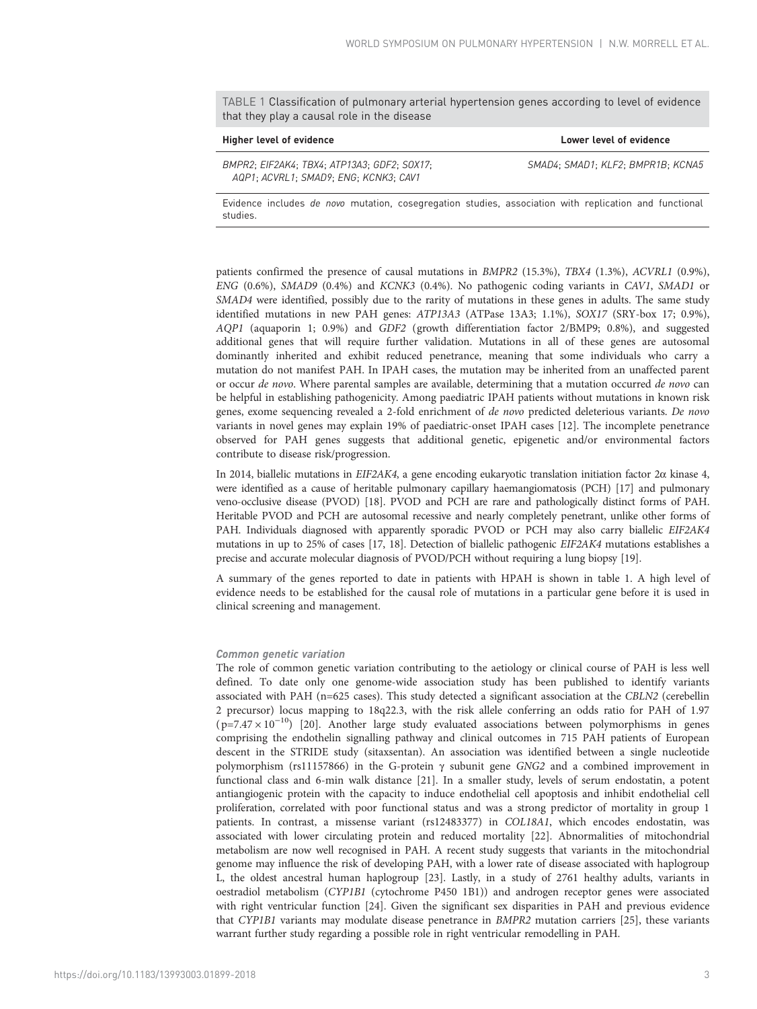TABLE 1 Classification of pulmonary arterial hypertension genes according to level of evidence that they play a causal role in the disease

| Higher level of evidence                                                             | Lower level of evidence           |
|--------------------------------------------------------------------------------------|-----------------------------------|
| BMPR2: EIF2AK4: TBX4: ATP13A3: GDF2: SOX17:<br>AQP1: ACVRL1: SMAD9: ENG: KCNK3: CAV1 | SMAD4: SMAD1: KLF2: BMPR1B: KCNA5 |
|                                                                                      |                                   |

Evidence includes de novo mutation, cosegregation studies, association with replication and functional studies.

patients confirmed the presence of causal mutations in BMPR2 (15.3%), TBX4 (1.3%), ACVRL1 (0.9%), ENG (0.6%), SMAD9 (0.4%) and KCNK3 (0.4%). No pathogenic coding variants in CAV1, SMAD1 or SMAD4 were identified, possibly due to the rarity of mutations in these genes in adults. The same study identified mutations in new PAH genes: ATP13A3 (ATPase 13A3; 1.1%), SOX17 (SRY-box 17; 0.9%), AQP1 (aquaporin 1; 0.9%) and GDF2 (growth differentiation factor 2/BMP9; 0.8%), and suggested additional genes that will require further validation. Mutations in all of these genes are autosomal dominantly inherited and exhibit reduced penetrance, meaning that some individuals who carry a mutation do not manifest PAH. In IPAH cases, the mutation may be inherited from an unaffected parent or occur de novo. Where parental samples are available, determining that a mutation occurred de novo can be helpful in establishing pathogenicity. Among paediatric IPAH patients without mutations in known risk genes, exome sequencing revealed a 2-fold enrichment of de novo predicted deleterious variants. De novo variants in novel genes may explain 19% of paediatric-onset IPAH cases [\[12\]](#page-7-0). The incomplete penetrance observed for PAH genes suggests that additional genetic, epigenetic and/or environmental factors contribute to disease risk/progression.

In 2014, biallelic mutations in EIF2AK4, a gene encoding eukaryotic translation initiation factor 2α kinase 4, were identified as a cause of heritable pulmonary capillary haemangiomatosis (PCH) [\[17\]](#page-8-0) and pulmonary veno-occlusive disease (PVOD) [\[18](#page-8-0)]. PVOD and PCH are rare and pathologically distinct forms of PAH. Heritable PVOD and PCH are autosomal recessive and nearly completely penetrant, unlike other forms of PAH. Individuals diagnosed with apparently sporadic PVOD or PCH may also carry biallelic EIF2AK4 mutations in up to 25% of cases [[17](#page-8-0), [18\]](#page-8-0). Detection of biallelic pathogenic EIF2AK4 mutations establishes a precise and accurate molecular diagnosis of PVOD/PCH without requiring a lung biopsy [\[19\]](#page-8-0).

A summary of the genes reported to date in patients with HPAH is shown in table 1. A high level of evidence needs to be established for the causal role of mutations in a particular gene before it is used in clinical screening and management.

#### Common genetic variation

The role of common genetic variation contributing to the aetiology or clinical course of PAH is less well defined. To date only one genome-wide association study has been published to identify variants associated with PAH (n=625 cases). This study detected a significant association at the CBLN2 (cerebellin 2 precursor) locus mapping to 18q22.3, with the risk allele conferring an odds ratio for PAH of 1.97  $(p=7.47 \times 10^{-10})$  [\[20\]](#page-8-0). Another large study evaluated associations between polymorphisms in genes comprising the endothelin signalling pathway and clinical outcomes in 715 PAH patients of European descent in the STRIDE study (sitaxsentan). An association was identified between a single nucleotide polymorphism (rs11157866) in the G-protein  $\gamma$  subunit gene GNG2 and a combined improvement in functional class and 6-min walk distance [\[21\]](#page-8-0). In a smaller study, levels of serum endostatin, a potent antiangiogenic protein with the capacity to induce endothelial cell apoptosis and inhibit endothelial cell proliferation, correlated with poor functional status and was a strong predictor of mortality in group 1 patients. In contrast, a missense variant (rs12483377) in COL18A1, which encodes endostatin, was associated with lower circulating protein and reduced mortality [[22\]](#page-8-0). Abnormalities of mitochondrial metabolism are now well recognised in PAH. A recent study suggests that variants in the mitochondrial genome may influence the risk of developing PAH, with a lower rate of disease associated with haplogroup L, the oldest ancestral human haplogroup [\[23\]](#page-8-0). Lastly, in a study of 2761 healthy adults, variants in oestradiol metabolism (CYP1B1 (cytochrome P450 1B1)) and androgen receptor genes were associated with right ventricular function [\[24\]](#page-8-0). Given the significant sex disparities in PAH and previous evidence that CYP1B1 variants may modulate disease penetrance in BMPR2 mutation carriers [\[25\]](#page-8-0), these variants warrant further study regarding a possible role in right ventricular remodelling in PAH.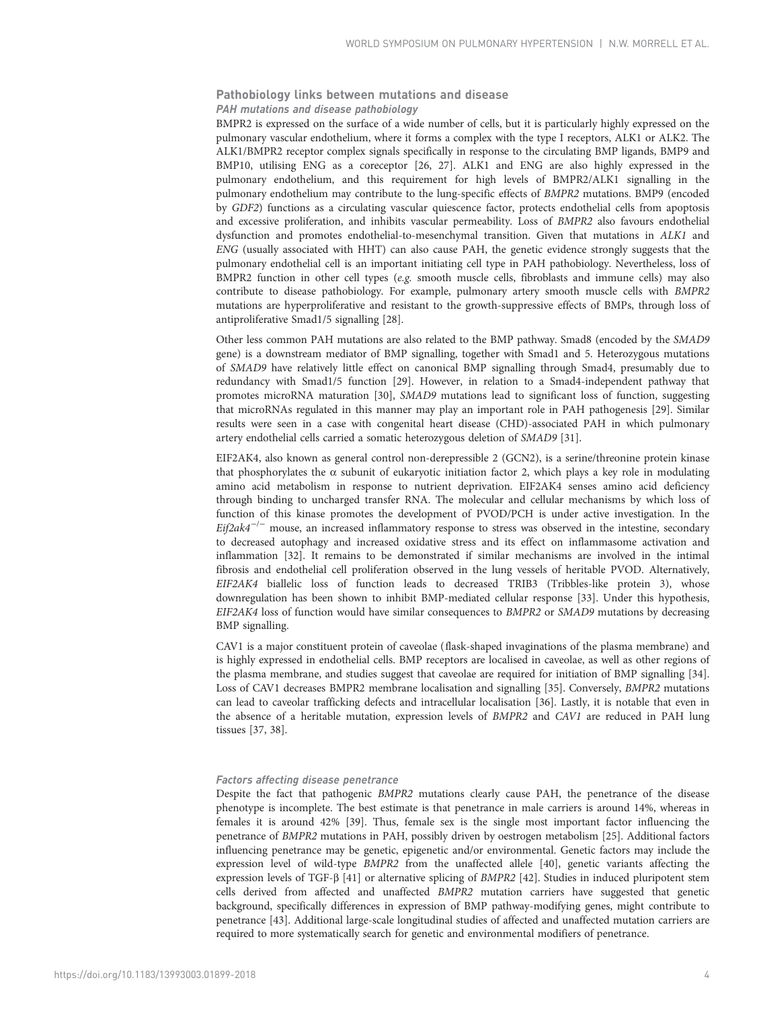# Pathobiology links between mutations and disease

PAH mutations and disease pathobiology

BMPR2 is expressed on the surface of a wide number of cells, but it is particularly highly expressed on the pulmonary vascular endothelium, where it forms a complex with the type I receptors, ALK1 or ALK2. The ALK1/BMPR2 receptor complex signals specifically in response to the circulating BMP ligands, BMP9 and BMP10, utilising ENG as a coreceptor [\[26, 27\]](#page-8-0). ALK1 and ENG are also highly expressed in the pulmonary endothelium, and this requirement for high levels of BMPR2/ALK1 signalling in the pulmonary endothelium may contribute to the lung-specific effects of BMPR2 mutations. BMP9 (encoded by GDF2) functions as a circulating vascular quiescence factor, protects endothelial cells from apoptosis and excessive proliferation, and inhibits vascular permeability. Loss of BMPR2 also favours endothelial dysfunction and promotes endothelial-to-mesenchymal transition. Given that mutations in ALK1 and ENG (usually associated with HHT) can also cause PAH, the genetic evidence strongly suggests that the pulmonary endothelial cell is an important initiating cell type in PAH pathobiology. Nevertheless, loss of BMPR2 function in other cell types (e.g. smooth muscle cells, fibroblasts and immune cells) may also contribute to disease pathobiology. For example, pulmonary artery smooth muscle cells with BMPR2 mutations are hyperproliferative and resistant to the growth-suppressive effects of BMPs, through loss of antiproliferative Smad1/5 signalling [[28\]](#page-8-0).

Other less common PAH mutations are also related to the BMP pathway. Smad8 (encoded by the SMAD9 gene) is a downstream mediator of BMP signalling, together with Smad1 and 5. Heterozygous mutations of SMAD9 have relatively little effect on canonical BMP signalling through Smad4, presumably due to redundancy with Smad1/5 function [\[29\]](#page-8-0). However, in relation to a Smad4-independent pathway that promotes microRNA maturation [\[30\]](#page-8-0), SMAD9 mutations lead to significant loss of function, suggesting that microRNAs regulated in this manner may play an important role in PAH pathogenesis [[29](#page-8-0)]. Similar results were seen in a case with congenital heart disease (CHD)-associated PAH in which pulmonary artery endothelial cells carried a somatic heterozygous deletion of SMAD9 [\[31\]](#page-8-0).

EIF2AK4, also known as general control non-derepressible 2 (GCN2), is a serine/threonine protein kinase that phosphorylates the α subunit of eukaryotic initiation factor 2, which plays a key role in modulating amino acid metabolism in response to nutrient deprivation. EIF2AK4 senses amino acid deficiency through binding to uncharged transfer RNA. The molecular and cellular mechanisms by which loss of function of this kinase promotes the development of PVOD/PCH is under active investigation. In the  $Eif2ak4<sup>-/-</sup>$  mouse, an increased inflammatory response to stress was observed in the intestine, secondary to decreased autophagy and increased oxidative stress and its effect on inflammasome activation and inflammation [[32](#page-8-0)]. It remains to be demonstrated if similar mechanisms are involved in the intimal fibrosis and endothelial cell proliferation observed in the lung vessels of heritable PVOD. Alternatively, EIF2AK4 biallelic loss of function leads to decreased TRIB3 (Tribbles-like protein 3), whose downregulation has been shown to inhibit BMP-mediated cellular response [\[33\]](#page-8-0). Under this hypothesis, EIF2AK4 loss of function would have similar consequences to BMPR2 or SMAD9 mutations by decreasing BMP signalling.

CAV1 is a major constituent protein of caveolae (flask-shaped invaginations of the plasma membrane) and is highly expressed in endothelial cells. BMP receptors are localised in caveolae, as well as other regions of the plasma membrane, and studies suggest that caveolae are required for initiation of BMP signalling [[34](#page-8-0)]. Loss of CAV1 decreases BMPR2 membrane localisation and signalling [\[35\]](#page-8-0). Conversely, BMPR2 mutations can lead to caveolar trafficking defects and intracellular localisation [\[36](#page-8-0)]. Lastly, it is notable that even in the absence of a heritable mutation, expression levels of BMPR2 and CAV1 are reduced in PAH lung tissues [\[37, 38](#page-8-0)].

# Factors affecting disease penetrance

Despite the fact that pathogenic BMPR2 mutations clearly cause PAH, the penetrance of the disease phenotype is incomplete. The best estimate is that penetrance in male carriers is around 14%, whereas in females it is around 42% [\[39\]](#page-8-0). Thus, female sex is the single most important factor influencing the penetrance of BMPR2 mutations in PAH, possibly driven by oestrogen metabolism [[25](#page-8-0)]. Additional factors influencing penetrance may be genetic, epigenetic and/or environmental. Genetic factors may include the expression level of wild-type BMPR2 from the unaffected allele [[40](#page-8-0)], genetic variants affecting the expression levels of TGF-β [[41](#page-8-0)] or alternative splicing of BMPR2 [[42](#page-8-0)]. Studies in induced pluripotent stem cells derived from affected and unaffected BMPR2 mutation carriers have suggested that genetic background, specifically differences in expression of BMP pathway-modifying genes, might contribute to penetrance [\[43\]](#page-8-0). Additional large-scale longitudinal studies of affected and unaffected mutation carriers are required to more systematically search for genetic and environmental modifiers of penetrance.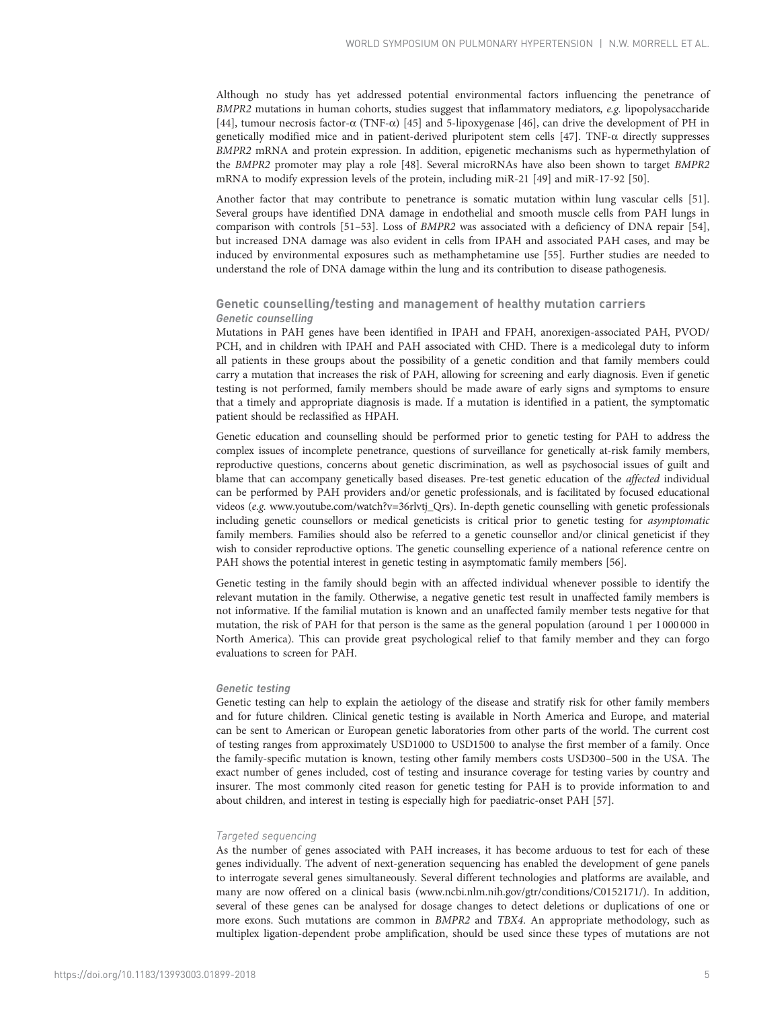Although no study has yet addressed potential environmental factors influencing the penetrance of BMPR2 mutations in human cohorts, studies suggest that inflammatory mediators, e.g. lipopolysaccharide [\[44\]](#page-8-0), tumour necrosis factor-α (TNF-α) [\[45](#page-8-0)] and 5-lipoxygenase [[46](#page-8-0)], can drive the development of PH in genetically modified mice and in patient-derived pluripotent stem cells [[47](#page-8-0)]. TNF-α directly suppresses BMPR2 mRNA and protein expression. In addition, epigenetic mechanisms such as hypermethylation of the BMPR2 promoter may play a role [[48](#page-9-0)]. Several microRNAs have also been shown to target BMPR2 mRNA to modify expression levels of the protein, including miR-21 [\[49](#page-9-0)] and miR-17-92 [[50](#page-9-0)].

Another factor that may contribute to penetrance is somatic mutation within lung vascular cells [[51](#page-9-0)]. Several groups have identified DNA damage in endothelial and smooth muscle cells from PAH lungs in comparison with controls [[51](#page-9-0)–[53\]](#page-9-0). Loss of BMPR2 was associated with a deficiency of DNA repair [[54](#page-9-0)], but increased DNA damage was also evident in cells from IPAH and associated PAH cases, and may be induced by environmental exposures such as methamphetamine use [\[55\]](#page-9-0). Further studies are needed to understand the role of DNA damage within the lung and its contribution to disease pathogenesis.

# Genetic counselling/testing and management of healthy mutation carriers Genetic counselling

Mutations in PAH genes have been identified in IPAH and FPAH, anorexigen-associated PAH, PVOD/ PCH, and in children with IPAH and PAH associated with CHD. There is a medicolegal duty to inform all patients in these groups about the possibility of a genetic condition and that family members could carry a mutation that increases the risk of PAH, allowing for screening and early diagnosis. Even if genetic testing is not performed, family members should be made aware of early signs and symptoms to ensure that a timely and appropriate diagnosis is made. If a mutation is identified in a patient, the symptomatic patient should be reclassified as HPAH.

Genetic education and counselling should be performed prior to genetic testing for PAH to address the complex issues of incomplete penetrance, questions of surveillance for genetically at-risk family members, reproductive questions, concerns about genetic discrimination, as well as psychosocial issues of guilt and blame that can accompany genetically based diseases. Pre-test genetic education of the affected individual can be performed by PAH providers and/or genetic professionals, and is facilitated by focused educational videos (e.g. [www.youtube.com/watch?v=36rlvtj\\_Qrs](http://www.youtube.com/watch?v=36rlvtj_Qrs)). In-depth genetic counselling with genetic professionals including genetic counsellors or medical geneticists is critical prior to genetic testing for asymptomatic family members. Families should also be referred to a genetic counsellor and/or clinical geneticist if they wish to consider reproductive options. The genetic counselling experience of a national reference centre on PAH shows the potential interest in genetic testing in asymptomatic family members [[56](#page-9-0)].

Genetic testing in the family should begin with an affected individual whenever possible to identify the relevant mutation in the family. Otherwise, a negative genetic test result in unaffected family members is not informative. If the familial mutation is known and an unaffected family member tests negative for that mutation, the risk of PAH for that person is the same as the general population (around 1 per 1 000 000 in North America). This can provide great psychological relief to that family member and they can forgo evaluations to screen for PAH.

### Genetic testing

Genetic testing can help to explain the aetiology of the disease and stratify risk for other family members and for future children. Clinical genetic testing is available in North America and Europe, and material can be sent to American or European genetic laboratories from other parts of the world. The current cost of testing ranges from approximately USD1000 to USD1500 to analyse the first member of a family. Once the family-specific mutation is known, testing other family members costs USD300–500 in the USA. The exact number of genes included, cost of testing and insurance coverage for testing varies by country and insurer. The most commonly cited reason for genetic testing for PAH is to provide information to and about children, and interest in testing is especially high for paediatric-onset PAH [[57](#page-9-0)].

#### Targeted sequencing

As the number of genes associated with PAH increases, it has become arduous to test for each of these genes individually. The advent of next-generation sequencing has enabled the development of gene panels to interrogate several genes simultaneously. Several different technologies and platforms are available, and many are now offered on a clinical basis ([www.ncbi.nlm.nih.gov/gtr/conditions/C0152171/\)](http://www.ncbi.nlm.nih.gov/gtr/conditions/C0152171/). In addition, several of these genes can be analysed for dosage changes to detect deletions or duplications of one or more exons. Such mutations are common in BMPR2 and TBX4. An appropriate methodology, such as multiplex ligation-dependent probe amplification, should be used since these types of mutations are not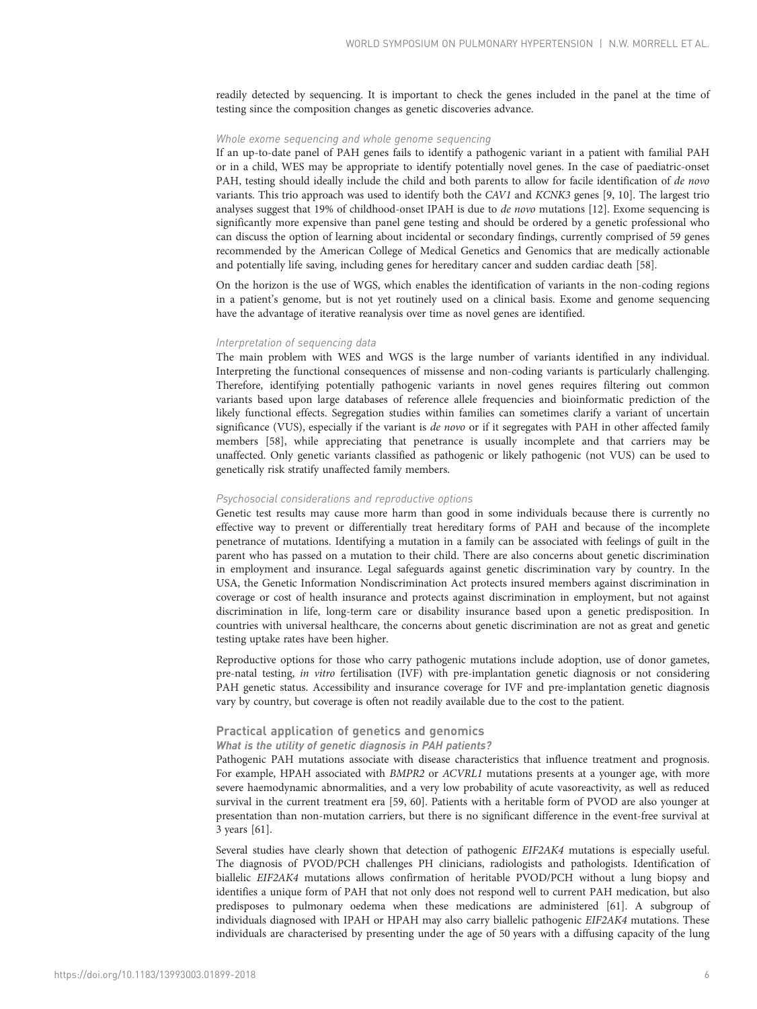readily detected by sequencing. It is important to check the genes included in the panel at the time of testing since the composition changes as genetic discoveries advance.

# Whole exome sequencing and whole genome sequencing

If an up-to-date panel of PAH genes fails to identify a pathogenic variant in a patient with familial PAH or in a child, WES may be appropriate to identify potentially novel genes. In the case of paediatric-onset PAH, testing should ideally include the child and both parents to allow for facile identification of de novo variants. This trio approach was used to identify both the CAV1 and KCNK3 genes [\[9, 10](#page-7-0)]. The largest trio analyses suggest that 19% of childhood-onset IPAH is due to de novo mutations [\[12\]](#page-7-0). Exome sequencing is significantly more expensive than panel gene testing and should be ordered by a genetic professional who can discuss the option of learning about incidental or secondary findings, currently comprised of 59 genes recommended by the American College of Medical Genetics and Genomics that are medically actionable and potentially life saving, including genes for hereditary cancer and sudden cardiac death [\[58](#page-9-0)].

On the horizon is the use of WGS, which enables the identification of variants in the non-coding regions in a patient's genome, but is not yet routinely used on a clinical basis. Exome and genome sequencing have the advantage of iterative reanalysis over time as novel genes are identified.

#### Interpretation of sequencing data

The main problem with WES and WGS is the large number of variants identified in any individual. Interpreting the functional consequences of missense and non-coding variants is particularly challenging. Therefore, identifying potentially pathogenic variants in novel genes requires filtering out common variants based upon large databases of reference allele frequencies and bioinformatic prediction of the likely functional effects. Segregation studies within families can sometimes clarify a variant of uncertain significance (VUS), especially if the variant is de novo or if it segregates with PAH in other affected family members [\[58\]](#page-9-0), while appreciating that penetrance is usually incomplete and that carriers may be unaffected. Only genetic variants classified as pathogenic or likely pathogenic (not VUS) can be used to genetically risk stratify unaffected family members.

# Psychosocial considerations and reproductive options

Genetic test results may cause more harm than good in some individuals because there is currently no effective way to prevent or differentially treat hereditary forms of PAH and because of the incomplete penetrance of mutations. Identifying a mutation in a family can be associated with feelings of guilt in the parent who has passed on a mutation to their child. There are also concerns about genetic discrimination in employment and insurance. Legal safeguards against genetic discrimination vary by country. In the USA, the Genetic Information Nondiscrimination Act protects insured members against discrimination in coverage or cost of health insurance and protects against discrimination in employment, but not against discrimination in life, long-term care or disability insurance based upon a genetic predisposition. In countries with universal healthcare, the concerns about genetic discrimination are not as great and genetic testing uptake rates have been higher.

Reproductive options for those who carry pathogenic mutations include adoption, use of donor gametes, pre-natal testing, in vitro fertilisation (IVF) with pre-implantation genetic diagnosis or not considering PAH genetic status. Accessibility and insurance coverage for IVF and pre-implantation genetic diagnosis vary by country, but coverage is often not readily available due to the cost to the patient.

# Practical application of genetics and genomics

# What is the utility of genetic diagnosis in PAH patients?

Pathogenic PAH mutations associate with disease characteristics that influence treatment and prognosis. For example, HPAH associated with BMPR2 or ACVRL1 mutations presents at a younger age, with more severe haemodynamic abnormalities, and a very low probability of acute vasoreactivity, as well as reduced survival in the current treatment era [\[59, 60](#page-9-0)]. Patients with a heritable form of PVOD are also younger at presentation than non-mutation carriers, but there is no significant difference in the event-free survival at 3 years [[61](#page-9-0)].

Several studies have clearly shown that detection of pathogenic EIF2AK4 mutations is especially useful. The diagnosis of PVOD/PCH challenges PH clinicians, radiologists and pathologists. Identification of biallelic EIF2AK4 mutations allows confirmation of heritable PVOD/PCH without a lung biopsy and identifies a unique form of PAH that not only does not respond well to current PAH medication, but also predisposes to pulmonary oedema when these medications are administered [\[61\]](#page-9-0). A subgroup of individuals diagnosed with IPAH or HPAH may also carry biallelic pathogenic EIF2AK4 mutations. These individuals are characterised by presenting under the age of 50 years with a diffusing capacity of the lung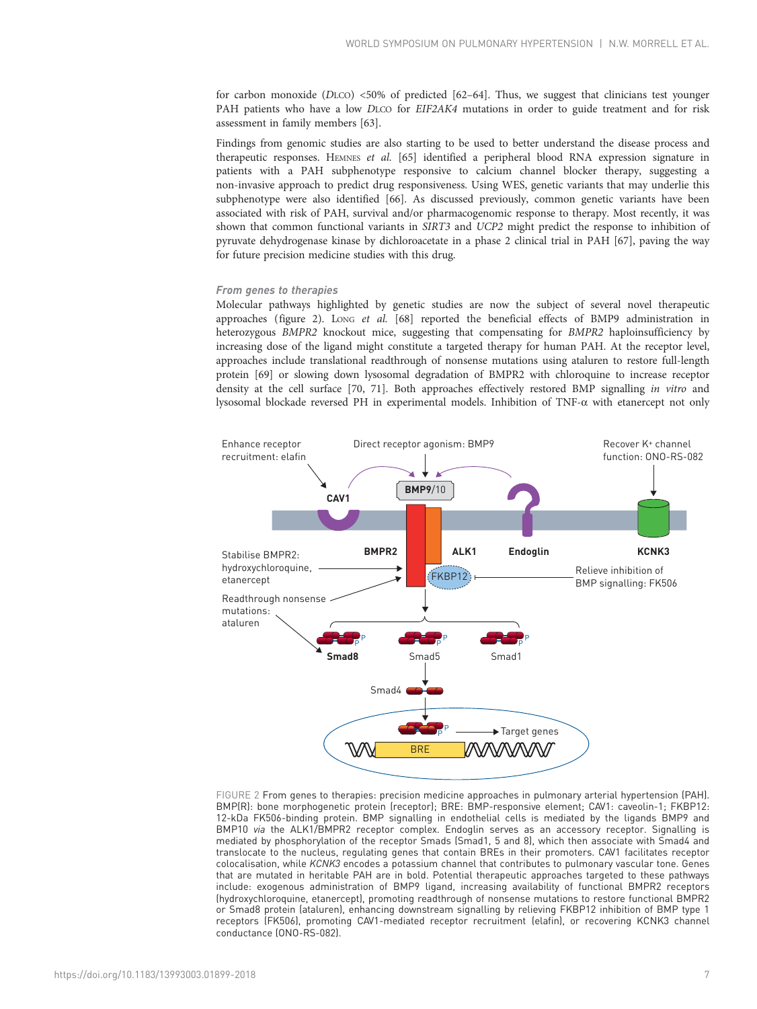for carbon monoxide (DLCO) <50% of predicted [[62](#page-9-0)–[64\]](#page-9-0). Thus, we suggest that clinicians test younger PAH patients who have a low DLCO for EIF2AK4 mutations in order to guide treatment and for risk assessment in family members [\[63\]](#page-9-0).

Findings from genomic studies are also starting to be used to better understand the disease process and therapeutic responses. HEMNES et al. [\[65](#page-9-0)] identified a peripheral blood RNA expression signature in patients with a PAH subphenotype responsive to calcium channel blocker therapy, suggesting a non-invasive approach to predict drug responsiveness. Using WES, genetic variants that may underlie this subphenotype were also identified [[66](#page-9-0)]. As discussed previously, common genetic variants have been associated with risk of PAH, survival and/or pharmacogenomic response to therapy. Most recently, it was shown that common functional variants in SIRT3 and UCP2 might predict the response to inhibition of pyruvate dehydrogenase kinase by dichloroacetate in a phase 2 clinical trial in PAH [\[67\]](#page-9-0), paving the way for future precision medicine studies with this drug.

# From genes to therapies

Molecular pathways highlighted by genetic studies are now the subject of several novel therapeutic approaches (figure 2). Long et al. [[68\]](#page-9-0) reported the beneficial effects of BMP9 administration in heterozygous BMPR2 knockout mice, suggesting that compensating for BMPR2 haploinsufficiency by increasing dose of the ligand might constitute a targeted therapy for human PAH. At the receptor level, approaches include translational readthrough of nonsense mutations using ataluren to restore full-length protein [\[69](#page-9-0)] or slowing down lysosomal degradation of BMPR2 with chloroquine to increase receptor density at the cell surface [[70](#page-9-0), [71](#page-9-0)]. Both approaches effectively restored BMP signalling in vitro and lysosomal blockade reversed PH in experimental models. Inhibition of TNF-α with etanercept not only



FIGURE 2 From genes to therapies: precision medicine approaches in pulmonary arterial hypertension (PAH). BMP(R): bone morphogenetic protein (receptor); BRE: BMP-responsive element; CAV1: caveolin-1; FKBP12: 12-kDa FK506-binding protein. BMP signalling in endothelial cells is mediated by the ligands BMP9 and BMP10 via the ALK1/BMPR2 receptor complex. Endoglin serves as an accessory receptor. Signalling is mediated by phosphorylation of the receptor Smads (Smad1, 5 and 8), which then associate with Smad4 and translocate to the nucleus, regulating genes that contain BREs in their promoters. CAV1 facilitates receptor colocalisation, while KCNK3 encodes a potassium channel that contributes to pulmonary vascular tone. Genes that are mutated in heritable PAH are in bold. Potential therapeutic approaches targeted to these pathways include: exogenous administration of BMP9 ligand, increasing availability of functional BMPR2 receptors (hydroxychloroquine, etanercept), promoting readthrough of nonsense mutations to restore functional BMPR2 or Smad8 protein (ataluren), enhancing downstream signalling by relieving FKBP12 inhibition of BMP type 1 receptors (FK506), promoting CAV1-mediated receptor recruitment (elafin), or recovering KCNK3 channel conductance (ONO-RS-082).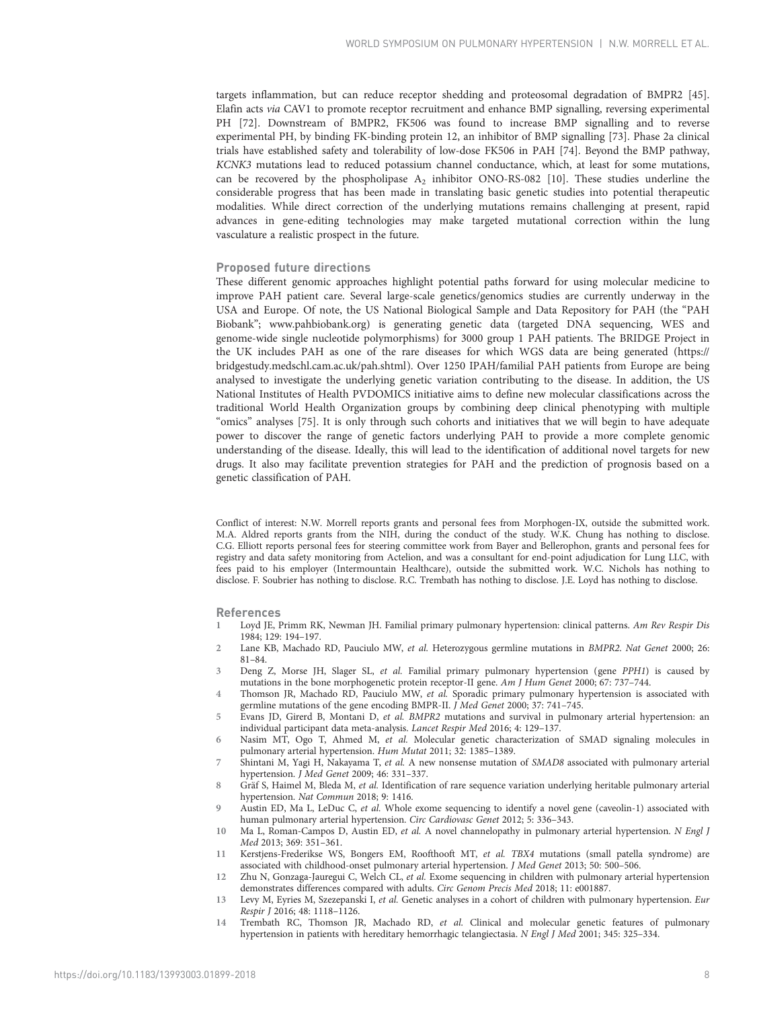<span id="page-7-0"></span>targets inflammation, but can reduce receptor shedding and proteosomal degradation of BMPR2 [[45](#page-8-0)]. Elafin acts via CAV1 to promote receptor recruitment and enhance BMP signalling, reversing experimental PH [\[72\]](#page-9-0). Downstream of BMPR2, FK506 was found to increase BMP signalling and to reverse experimental PH, by binding FK-binding protein 12, an inhibitor of BMP signalling [[73\]](#page-9-0). Phase 2a clinical trials have established safety and tolerability of low-dose FK506 in PAH [\[74\]](#page-9-0). Beyond the BMP pathway, KCNK3 mutations lead to reduced potassium channel conductance, which, at least for some mutations, can be recovered by the phospholipase  $A_2$  inhibitor ONO-RS-082 [10]. These studies underline the considerable progress that has been made in translating basic genetic studies into potential therapeutic modalities. While direct correction of the underlying mutations remains challenging at present, rapid advances in gene-editing technologies may make targeted mutational correction within the lung vasculature a realistic prospect in the future.

# Proposed future directions

These different genomic approaches highlight potential paths forward for using molecular medicine to improve PAH patient care. Several large-scale genetics/genomics studies are currently underway in the USA and Europe. Of note, the US National Biological Sample and Data Repository for PAH (the "PAH Biobank"; [www.pahbiobank.org](http://www.pahbiobank.org)) is generating genetic data (targeted DNA sequencing, WES and genome-wide single nucleotide polymorphisms) for 3000 group 1 PAH patients. The BRIDGE Project in the UK includes PAH as one of the rare diseases for which WGS data are being generated [\(https://](https://bridgestudy.medschl.cam.ac.uk/pah.shtml) [bridgestudy.medschl.cam.ac.uk/pah.shtml](https://bridgestudy.medschl.cam.ac.uk/pah.shtml)). Over 1250 IPAH/familial PAH patients from Europe are being analysed to investigate the underlying genetic variation contributing to the disease. In addition, the US National Institutes of Health PVDOMICS initiative aims to define new molecular classifications across the traditional World Health Organization groups by combining deep clinical phenotyping with multiple "omics" analyses [\[75\]](#page-9-0). It is only through such cohorts and initiatives that we will begin to have adequate power to discover the range of genetic factors underlying PAH to provide a more complete genomic understanding of the disease. Ideally, this will lead to the identification of additional novel targets for new drugs. It also may facilitate prevention strategies for PAH and the prediction of prognosis based on a genetic classification of PAH.

Conflict of interest: N.W. Morrell reports grants and personal fees from Morphogen-IX, outside the submitted work. M.A. Aldred reports grants from the NIH, during the conduct of the study. W.K. Chung has nothing to disclose. C.G. Elliott reports personal fees for steering committee work from Bayer and Bellerophon, grants and personal fees for registry and data safety monitoring from Actelion, and was a consultant for end-point adjudication for Lung LLC, with fees paid to his employer (Intermountain Healthcare), outside the submitted work. W.C. Nichols has nothing to disclose. F. Soubrier has nothing to disclose. R.C. Trembath has nothing to disclose. J.E. Loyd has nothing to disclose.

#### References

- 1 Loyd JE, Primm RK, Newman JH. Familial primary pulmonary hypertension: clinical patterns. Am Rev Respir Dis 1984; 129: 194–197.
- 2 Lane KB, Machado RD, Pauciulo MW, et al. Heterozygous germline mutations in BMPR2. Nat Genet 2000; 26: 81–84.
- 3 Deng Z, Morse JH, Slager SL, et al. Familial primary pulmonary hypertension (gene PPH1) is caused by mutations in the bone morphogenetic protein receptor-II gene. Am J Hum Genet 2000; 67: 737–744.
- 4 Thomson JR, Machado RD, Pauciulo MW, et al. Sporadic primary pulmonary hypertension is associated with germline mutations of the gene encoding BMPR-II. J Med Genet 2000; 37: 741–745.
- 5 Evans JD, Girerd B, Montani D, et al. BMPR2 mutations and survival in pulmonary arterial hypertension: an individual participant data meta-analysis. Lancet Respir Med 2016; 4: 129–137.
- 6 Nasim MT, Ogo T, Ahmed M, et al. Molecular genetic characterization of SMAD signaling molecules in pulmonary arterial hypertension. Hum Mutat 2011; 32: 1385–1389.
- 7 Shintani M, Yagi H, Nakayama T, et al. A new nonsense mutation of SMAD8 associated with pulmonary arterial hypertension. J Med Genet 2009; 46: 331–337.
- 8 Gräf S, Haimel M, Bleda M, et al. Identification of rare sequence variation underlying heritable pulmonary arterial hypertension. Nat Commun 2018; 9: 1416.
- 9 Austin ED, Ma L, LeDuc C, et al. Whole exome sequencing to identify a novel gene (caveolin-1) associated with human pulmonary arterial hypertension. Circ Cardiovasc Genet 2012; 5: 336–343.
- 10 Ma L, Roman-Campos D, Austin ED, et al. A novel channelopathy in pulmonary arterial hypertension. N Engl J Med 2013; 369: 351–361.
- 11 Kerstjens-Frederikse WS, Bongers EM, Roofthooft MT, et al. TBX4 mutations (small patella syndrome) are associated with childhood-onset pulmonary arterial hypertension. J Med Genet 2013; 50: 500–506.
- 12 Zhu N, Gonzaga-Jauregui C, Welch CL, et al. Exome sequencing in children with pulmonary arterial hypertension demonstrates differences compared with adults. Circ Genom Precis Med 2018; 11: e001887.
- 13 Levy M, Eyries M, Szezepanski I, et al. Genetic analyses in a cohort of children with pulmonary hypertension. Eur Respir J 2016; 48: 1118–1126.
- 14 Trembath RC, Thomson JR, Machado RD, et al. Clinical and molecular genetic features of pulmonary hypertension in patients with hereditary hemorrhagic telangiectasia. N Engl J Med 2001; 345: 325–334.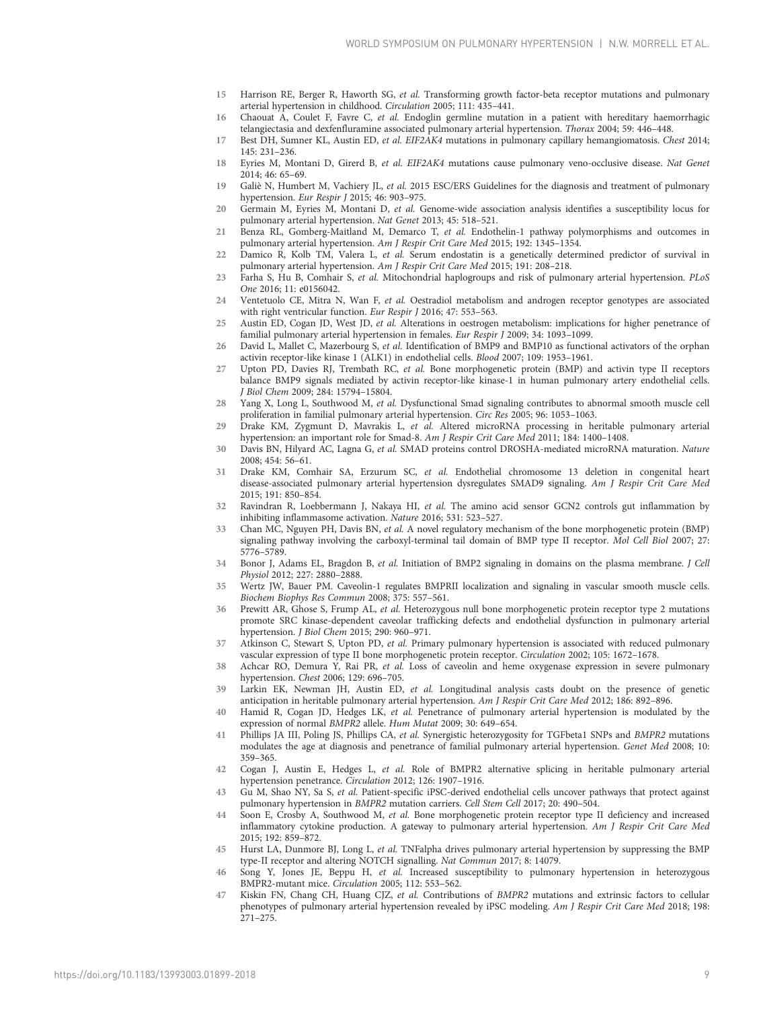- <span id="page-8-0"></span>15 Harrison RE, Berger R, Haworth SG, et al. Transforming growth factor-beta receptor mutations and pulmonary arterial hypertension in childhood. Circulation 2005; 111: 435–441.
- 16 Chaouat A, Coulet F, Favre C, et al. Endoglin germline mutation in a patient with hereditary haemorrhagic telangiectasia and dexfenfluramine associated pulmonary arterial hypertension. Thorax 2004; 59: 446–448.
- 17 Best DH, Sumner KL, Austin ED, et al. EIF2AK4 mutations in pulmonary capillary hemangiomatosis. Chest 2014; 145: 231–236.
- 18 Eyries M, Montani D, Girerd B, et al. EIF2AK4 mutations cause pulmonary veno-occlusive disease. Nat Genet 2014; 46: 65–69.
- 19 Galiè N, Humbert M, Vachiery JL, et al. 2015 ESC/ERS Guidelines for the diagnosis and treatment of pulmonary hypertension. Eur Respir J 2015; 46: 903–975.
- 20 Germain M, Eyries M, Montani D, et al. Genome-wide association analysis identifies a susceptibility locus for pulmonary arterial hypertension. Nat Genet 2013; 45: 518–521.
- 21 Benza RL, Gomberg-Maitland M, Demarco T, et al. Endothelin-1 pathway polymorphisms and outcomes in pulmonary arterial hypertension. Am J Respir Crit Care Med 2015; 192: 1345–1354.
- 22 Damico R, Kolb TM, Valera L, et al. Serum endostatin is a genetically determined predictor of survival in pulmonary arterial hypertension. Am J Respir Crit Care Med 2015; 191: 208-218.
- 23 Farha S, Hu B, Comhair S, et al. Mitochondrial haplogroups and risk of pulmonary arterial hypertension. PLoS One 2016; 11: e0156042.
- 24 Ventetuolo CE, Mitra N, Wan F, et al. Oestradiol metabolism and androgen receptor genotypes are associated with right ventricular function. Eur Respir J 2016; 47: 553–563.
- 25 Austin ED, Cogan JD, West JD, et al. Alterations in oestrogen metabolism: implications for higher penetrance of familial pulmonary arterial hypertension in females. Eur Respir J 2009; 34: 1093–1099.
- 26 David L, Mallet C, Mazerbourg S, et al. Identification of BMP9 and BMP10 as functional activators of the orphan activin receptor-like kinase 1 (ALK1) in endothelial cells. Blood 2007; 109: 1953–1961.
- 27 Upton PD, Davies RJ, Trembath RC, et al. Bone morphogenetic protein (BMP) and activin type II receptors balance BMP9 signals mediated by activin receptor-like kinase-1 in human pulmonary artery endothelial cells. J Biol Chem 2009; 284: 15794–15804.
- 28 Yang X, Long L, Southwood M, et al. Dysfunctional Smad signaling contributes to abnormal smooth muscle cell proliferation in familial pulmonary arterial hypertension. Circ Res 2005; 96: 1053–1063.
- 29 Drake KM, Zygmunt D, Mavrakis L, et al. Altered microRNA processing in heritable pulmonary arterial hypertension: an important role for Smad-8. Am J Respir Crit Care Med 2011; 184: 1400–1408.
- 30 Davis BN, Hilyard AC, Lagna G, et al. SMAD proteins control DROSHA-mediated microRNA maturation. Nature 2008; 454: 56–61.
- 31 Drake KM, Comhair SA, Erzurum SC, et al. Endothelial chromosome 13 deletion in congenital heart disease-associated pulmonary arterial hypertension dysregulates SMAD9 signaling. Am J Respir Crit Care Med 2015; 191: 850–854.
- 32 Ravindran R, Loebbermann J, Nakaya HI, et al. The amino acid sensor GCN2 controls gut inflammation by inhibiting inflammasome activation. Nature 2016; 531: 523–527.
- 33 Chan MC, Nguyen PH, Davis BN, et al. A novel regulatory mechanism of the bone morphogenetic protein (BMP) signaling pathway involving the carboxyl-terminal tail domain of BMP type II receptor. Mol Cell Biol 2007; 27: 5776–5789.
- 34 Bonor J, Adams EL, Bragdon B, et al. Initiation of BMP2 signaling in domains on the plasma membrane. J Cell Physiol 2012; 227: 2880–2888.
- 35 Wertz JW, Bauer PM. Caveolin-1 regulates BMPRII localization and signaling in vascular smooth muscle cells. Biochem Biophys Res Commun 2008; 375: 557–561.
- 36 Prewitt AR, Ghose S, Frump AL, et al. Heterozygous null bone morphogenetic protein receptor type 2 mutations promote SRC kinase-dependent caveolar trafficking defects and endothelial dysfunction in pulmonary arterial hypertension. J Biol Chem 2015; 290: 960–971.
- 37 Atkinson C, Stewart S, Upton PD, et al. Primary pulmonary hypertension is associated with reduced pulmonary vascular expression of type II bone morphogenetic protein receptor. Circulation 2002; 105: 1672–1678.
- 38 Achcar RO, Demura Y, Rai PR, et al. Loss of caveolin and heme oxygenase expression in severe pulmonary hypertension. Chest 2006; 129: 696–705.
- 39 Larkin EK, Newman JH, Austin ED, et al. Longitudinal analysis casts doubt on the presence of genetic anticipation in heritable pulmonary arterial hypertension. Am J Respir Crit Care Med 2012; 186: 892–896.
- 40 Hamid R, Cogan JD, Hedges LK, et al. Penetrance of pulmonary arterial hypertension is modulated by the expression of normal BMPR2 allele. Hum Mutat 2009; 30: 649–654.
- 41 Phillips JA III, Poling JS, Phillips CA, et al. Synergistic heterozygosity for TGFbeta1 SNPs and BMPR2 mutations modulates the age at diagnosis and penetrance of familial pulmonary arterial hypertension. Genet Med 2008; 10: 359–365.
- 42 Cogan J, Austin E, Hedges L, et al. Role of BMPR2 alternative splicing in heritable pulmonary arterial hypertension penetrance. Circulation 2012; 126: 1907–1916.
- 43 Gu M, Shao NY, Sa S, et al. Patient-specific iPSC-derived endothelial cells uncover pathways that protect against pulmonary hypertension in BMPR2 mutation carriers. Cell Stem Cell 2017; 20: 490–504.
- 44 Soon E, Crosby A, Southwood M, et al. Bone morphogenetic protein receptor type II deficiency and increased inflammatory cytokine production. A gateway to pulmonary arterial hypertension. Am J Respir Crit Care Med 2015; 192: 859–872.
- 45 Hurst LA, Dunmore BJ, Long L, et al. TNFalpha drives pulmonary arterial hypertension by suppressing the BMP type-II receptor and altering NOTCH signalling. Nat Commun 2017; 8: 14079.
- 46 Song Y, Jones JE, Beppu H, et al. Increased susceptibility to pulmonary hypertension in heterozygous BMPR2-mutant mice. Circulation 2005; 112: 553–562.
- 47 Kiskin FN, Chang CH, Huang CJZ, et al. Contributions of BMPR2 mutations and extrinsic factors to cellular phenotypes of pulmonary arterial hypertension revealed by iPSC modeling. Am J Respir Crit Care Med 2018; 198: 271–275.